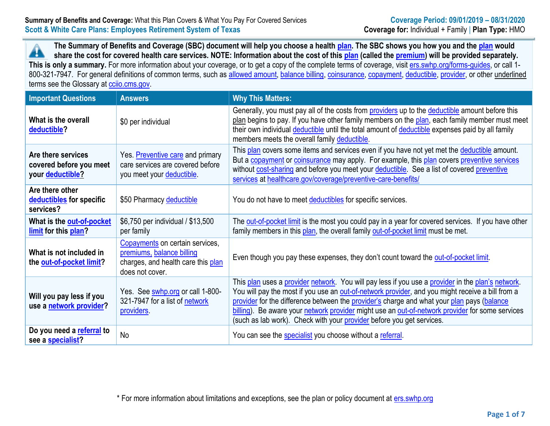**The Summary of Benefits and Coverage (SBC) document will help you choose a health [plan.](https://www.healthcare.gov/sbc-glossary/#plan) The SBC shows you how you and the [plan](https://www.healthcare.gov/sbc-glossary/#plan) would** ▲ **share the cost for covered health care services. NOTE: Information about the cost of thi[s plan](https://www.healthcare.gov/sbc-glossary/#plan) (called the [premium\)](https://www.healthcare.gov/sbc-glossary/#premium) will be provided separately.** This is only a summary. For more information about your coverage, or to get a copy of the complete terms of coverage, visit [ers.swhp.org/forms-guides,](file:///C:/Users/LRussell/AppData/Local/Microsoft/Windows/Temporary%20Internet%20Files/Content.Outlook/7COMP1JS/ers.swhp.org/forms-guides) or call 1-800-321-7947. For general definitions of common terms, such as [allowed amount,](https://www.healthcare.gov/sbc-glossary/#allowed-amount) [balance billing,](https://www.healthcare.gov/sbc-glossary/#balance-billing) [coinsurance,](https://www.healthcare.gov/sbc-glossary/#coinsurance) [copayment,](https://www.healthcare.gov/sbc-glossary/#copayment) [deductible,](https://www.healthcare.gov/sbc-glossary/#deductible) [provider,](https://www.healthcare.gov/sbc-glossary/#provider) or other underlined terms see the Glossary at [cciio.cms.gov.](file:///C:/Users/LRussell/AppData/Local/Microsoft/Windows/Temporary%20Internet%20Files/Content.Outlook/7COMP1JS/cciio.cms.gov)

| <b>Important Questions</b>                                        | <b>Answers</b>                                                                                                        | <b>Why This Matters:</b>                                                                                                                                                                                                                                                                                                                                                                                                                                                        |
|-------------------------------------------------------------------|-----------------------------------------------------------------------------------------------------------------------|---------------------------------------------------------------------------------------------------------------------------------------------------------------------------------------------------------------------------------------------------------------------------------------------------------------------------------------------------------------------------------------------------------------------------------------------------------------------------------|
| What is the overall<br>deductible?                                | \$0 per individual                                                                                                    | Generally, you must pay all of the costs from <b>providers</b> up to the <b>deductible</b> amount before this<br>plan begins to pay. If you have other family members on the plan, each family member must meet<br>their own individual deductible until the total amount of deductible expenses paid by all family<br>members meets the overall family deductible.                                                                                                             |
| Are there services<br>covered before you meet<br>your deductible? | Yes. Preventive care and primary<br>care services are covered before<br>you meet your deductible.                     | This plan covers some items and services even if you have not yet met the deductible amount.<br>But a copayment or coinsurance may apply. For example, this plan covers preventive services<br>without cost-sharing and before you meet your deductible. See a list of covered preventive<br>services at healthcare.gov/coverage/preventive-care-benefits/                                                                                                                      |
| Are there other<br>deductibles for specific<br>services?          | \$50 Pharmacy deductible                                                                                              | You do not have to meet deductibles for specific services.                                                                                                                                                                                                                                                                                                                                                                                                                      |
| What is the out-of-pocket<br>limit for this plan?                 | \$6,750 per individual / \$13,500<br>per family                                                                       | The out-of-pocket limit is the most you could pay in a year for covered services. If you have other<br>family members in this plan, the overall family out-of-pocket limit must be met.                                                                                                                                                                                                                                                                                         |
| What is not included in<br>the out-of-pocket limit?               | Copayments on certain services,<br>premiums, balance billing<br>charges, and health care this plan<br>does not cover. | Even though you pay these expenses, they don't count toward the out-of-pocket limit.                                                                                                                                                                                                                                                                                                                                                                                            |
| Will you pay less if you<br>use a network provider?               | Yes. See swhp.org or call 1-800-<br>321-7947 for a list of network<br>providers.                                      | This plan uses a provider network. You will pay less if you use a provider in the plan's network.<br>You will pay the most if you use an out-of-network provider, and you might receive a bill from a<br>provider for the difference between the provider's charge and what your plan pays (balance<br>billing). Be aware your network provider might use an out-of-network provider for some services<br>(such as lab work). Check with your provider before you get services. |
| Do you need a referral to<br>see a <b>specialist?</b>             | <b>No</b>                                                                                                             | You can see the specialist you choose without a referral.                                                                                                                                                                                                                                                                                                                                                                                                                       |

\* For more information about limitations and exceptions, see the plan or policy document at [ers.swhp.org](http://www.ers.swhp.org/)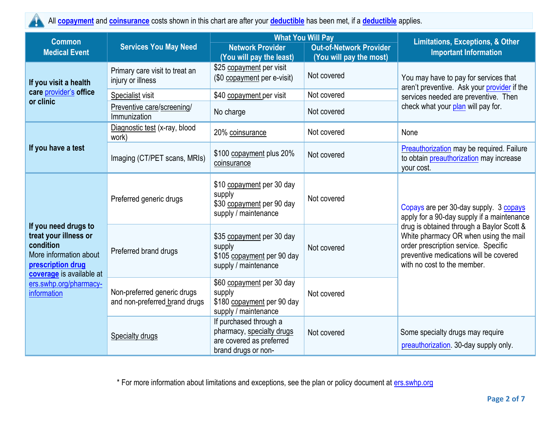

All **[copayment](https://www.healthcare.gov/sbc-glossary/#copayment)** and **[coinsurance](https://www.healthcare.gov/sbc-glossary/#coinsurance)** costs shown in this chart are after your **[deductible](https://www.healthcare.gov/sbc-glossary/#deductible)** has been met, if a **[deductible](https://www.healthcare.gov/sbc-glossary/#deductible)** applies.

| <b>Common</b>                                                                                                                                                                  |                                                              | <b>What You Will Pay</b>                                                                               |                                                           | <b>Limitations, Exceptions, &amp; Other</b>                                                                                                                                                                                                                                                 |  |
|--------------------------------------------------------------------------------------------------------------------------------------------------------------------------------|--------------------------------------------------------------|--------------------------------------------------------------------------------------------------------|-----------------------------------------------------------|---------------------------------------------------------------------------------------------------------------------------------------------------------------------------------------------------------------------------------------------------------------------------------------------|--|
| <b>Medical Event</b>                                                                                                                                                           | <b>Services You May Need</b>                                 | <b>Network Provider</b><br>(You will pay the least)                                                    | <b>Out-of-Network Provider</b><br>(You will pay the most) | <b>Important Information</b>                                                                                                                                                                                                                                                                |  |
| If you visit a health                                                                                                                                                          | Primary care visit to treat an<br>injury or illness          | \$25 copayment per visit<br>(\$0 copayment per e-visit)                                                | Not covered                                               | You may have to pay for services that<br>aren't preventive. Ask your provider if the<br>services needed are preventive. Then                                                                                                                                                                |  |
| care provider's office<br>or clinic                                                                                                                                            | Specialist visit                                             | \$40 copayment per visit                                                                               | Not covered                                               |                                                                                                                                                                                                                                                                                             |  |
|                                                                                                                                                                                | Preventive care/screening/<br>Immunization                   | No charge                                                                                              | Not covered                                               | check what your plan will pay for.                                                                                                                                                                                                                                                          |  |
|                                                                                                                                                                                | Diagnostic test (x-ray, blood<br>work)                       | 20% coinsurance                                                                                        | Not covered                                               | None                                                                                                                                                                                                                                                                                        |  |
| If you have a test                                                                                                                                                             | Imaging (CT/PET scans, MRIs)                                 | \$100 copayment plus 20%<br>coinsurance                                                                | Not covered                                               | <b>Preauthorization</b> may be required. Failure<br>to obtain preauthorization may increase<br>your cost.                                                                                                                                                                                   |  |
| If you need drugs to<br>treat your illness or<br>condition<br>More information about<br>prescription drug<br>coverage is available at<br>ers.swhp.org/pharmacy-<br>information | Preferred generic drugs                                      | \$10 copayment per 30 day<br>supply<br>\$30 copayment per 90 day<br>supply / maintenance               | Not covered                                               | Copays are per 30-day supply. 3 copays<br>apply for a 90-day supply if a maintenance<br>drug is obtained through a Baylor Scott &<br>White pharmacy OR when using the mail<br>order prescription service. Specific<br>preventive medications will be covered<br>with no cost to the member. |  |
|                                                                                                                                                                                | Preferred brand drugs                                        | \$35 copayment per 30 day<br>supply<br>\$105 copayment per 90 day<br>supply / maintenance              | Not covered                                               |                                                                                                                                                                                                                                                                                             |  |
|                                                                                                                                                                                | Non-preferred generic drugs<br>and non-preferred brand drugs | \$60 copayment per 30 day<br>supply<br>\$180 copayment per 90 day<br>supply / maintenance              | Not covered                                               |                                                                                                                                                                                                                                                                                             |  |
|                                                                                                                                                                                | Specialty drugs                                              | If purchased through a<br>pharmacy, specialty drugs<br>are covered as preferred<br>brand drugs or non- | Not covered                                               | Some specialty drugs may require<br>preauthorization. 30-day supply only.                                                                                                                                                                                                                   |  |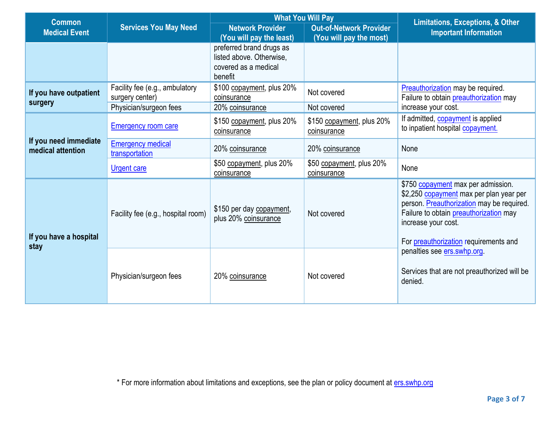| <b>Common</b>                              |                                                   | <b>What You Will Pay</b>                                                                |                                                           | <b>Limitations, Exceptions, &amp; Other</b>                                                                                                                                                                                          |  |
|--------------------------------------------|---------------------------------------------------|-----------------------------------------------------------------------------------------|-----------------------------------------------------------|--------------------------------------------------------------------------------------------------------------------------------------------------------------------------------------------------------------------------------------|--|
| <b>Medical Event</b>                       | <b>Services You May Need</b>                      | <b>Network Provider</b><br>(You will pay the least)                                     | <b>Out-of-Network Provider</b><br>(You will pay the most) | <b>Important Information</b>                                                                                                                                                                                                         |  |
|                                            |                                                   | preferred brand drugs as<br>listed above. Otherwise,<br>covered as a medical<br>benefit |                                                           |                                                                                                                                                                                                                                      |  |
| If you have outpatient<br>surgery          | Facility fee (e.g., ambulatory<br>surgery center) | \$100 copayment, plus 20%<br>coinsurance                                                | Not covered                                               | Preauthorization may be required.<br>Failure to obtain preauthorization may                                                                                                                                                          |  |
|                                            | Physician/surgeon fees                            | 20% coinsurance                                                                         | Not covered                                               | increase your cost.                                                                                                                                                                                                                  |  |
| If you need immediate<br>medical attention | <b>Emergency room care</b>                        | \$150 copayment, plus 20%<br>coinsurance                                                | \$150 copayment, plus 20%<br>coinsurance                  | If admitted, copayment is applied<br>to inpatient hospital copayment.                                                                                                                                                                |  |
|                                            | <b>Emergency medical</b><br>transportation        | 20% coinsurance                                                                         | 20% coinsurance                                           | None                                                                                                                                                                                                                                 |  |
|                                            | <b>Urgent care</b>                                | \$50 copayment, plus 20%<br>coinsurance                                                 | \$50 copayment, plus 20%<br>coinsurance                   | None                                                                                                                                                                                                                                 |  |
| If you have a hospital<br>stay             | Facility fee (e.g., hospital room)                | \$150 per day copayment,<br>plus 20% coinsurance                                        | Not covered                                               | \$750 copayment max per admission.<br>\$2,250 copayment max per plan year per<br>person. Preauthorization may be required.<br>Failure to obtain preauthorization may<br>increase your cost.<br>For preauthorization requirements and |  |
|                                            | Physician/surgeon fees                            | 20% coinsurance                                                                         | Not covered                                               | penalties see ers.swhp.org.<br>Services that are not preauthorized will be<br>denied.                                                                                                                                                |  |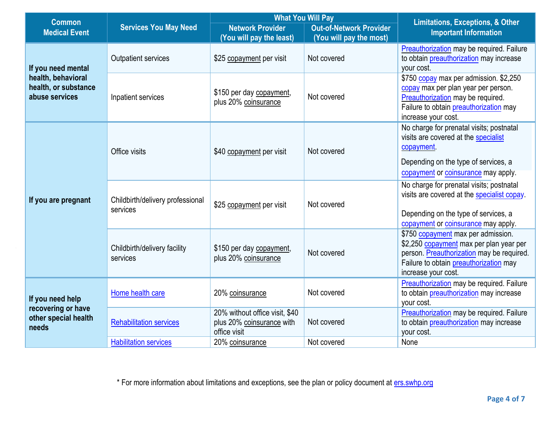| <b>Common</b>                                                           |                                              | <b>What You Will Pay</b>                                                    |                                                           | <b>Limitations, Exceptions, &amp; Other</b>                                                                                                                                                 |  |
|-------------------------------------------------------------------------|----------------------------------------------|-----------------------------------------------------------------------------|-----------------------------------------------------------|---------------------------------------------------------------------------------------------------------------------------------------------------------------------------------------------|--|
| <b>Medical Event</b>                                                    | <b>Services You May Need</b>                 | <b>Network Provider</b><br>(You will pay the least)                         | <b>Out-of-Network Provider</b><br>(You will pay the most) | <b>Important Information</b>                                                                                                                                                                |  |
| If you need mental                                                      | <b>Outpatient services</b>                   | \$25 copayment per visit                                                    | Not covered                                               | <b>Preauthorization</b> may be required. Failure<br>to obtain preauthorization may increase<br>your cost.                                                                                   |  |
| health, behavioral<br>health, or substance<br>abuse services            | Inpatient services                           | \$150 per day copayment,<br>plus 20% coinsurance                            | Not covered                                               | \$750 copay max per admission. \$2,250<br>copay max per plan year per person.<br>Preauthorization may be required.<br>Failure to obtain preauthorization may<br>increase your cost.         |  |
|                                                                         | Office visits                                | \$40 copayment per visit                                                    | Not covered                                               | No charge for prenatal visits; postnatal<br>visits are covered at the specialist<br>copayment<br>Depending on the type of services, a<br>copayment or coinsurance may apply.                |  |
| If you are pregnant                                                     | Childbirth/delivery professional<br>services | \$25 copayment per visit                                                    | Not covered                                               | No charge for prenatal visits; postnatal<br>visits are covered at the specialist copay.<br>Depending on the type of services, a<br>copayment or coinsurance may apply.                      |  |
|                                                                         | Childbirth/delivery facility<br>services     | \$150 per day copayment,<br>plus 20% coinsurance                            | Not covered                                               | \$750 copayment max per admission.<br>\$2,250 copayment max per plan year per<br>person. Preauthorization may be required.<br>Failure to obtain preauthorization may<br>increase your cost. |  |
| If you need help<br>recovering or have<br>other special health<br>needs | Home health care                             | 20% coinsurance                                                             | Not covered                                               | <b>Preauthorization</b> may be required. Failure<br>to obtain preauthorization may increase<br>your cost.                                                                                   |  |
|                                                                         | <b>Rehabilitation services</b>               | 20% without office visit, \$40<br>plus 20% coinsurance with<br>office visit | Not covered                                               | Preauthorization may be required. Failure<br>to obtain preauthorization may increase<br>your cost.                                                                                          |  |
|                                                                         | <b>Habilitation services</b>                 | 20% coinsurance                                                             | Not covered                                               | None                                                                                                                                                                                        |  |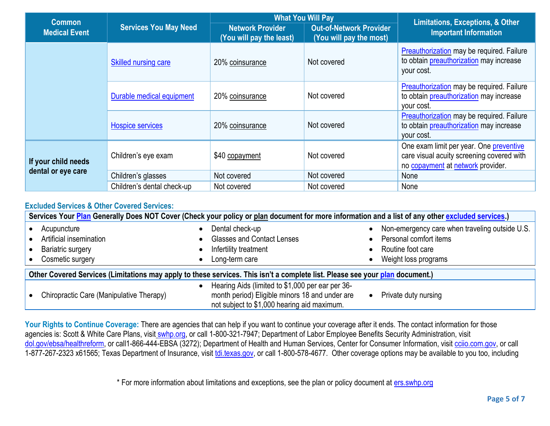| <b>Common</b>        | <b>Services You May Need</b> | <b>What You Will Pay</b>                            |                                                           | <b>Limitations, Exceptions, &amp; Other</b>                                                                               |
|----------------------|------------------------------|-----------------------------------------------------|-----------------------------------------------------------|---------------------------------------------------------------------------------------------------------------------------|
| <b>Medical Event</b> |                              | <b>Network Provider</b><br>(You will pay the least) | <b>Out-of-Network Provider</b><br>(You will pay the most) | <b>Important Information</b>                                                                                              |
|                      | <b>Skilled nursing care</b>  | 20% coinsurance                                     | Not covered                                               | Preauthorization may be required. Failure<br>to obtain preauthorization may increase<br>your cost.                        |
|                      | Durable medical equipment    | 20% coinsurance                                     | Not covered                                               | Preauthorization may be required. Failure<br>to obtain preauthorization may increase<br>your cost.                        |
|                      | <b>Hospice services</b>      | 20% coinsurance                                     | Not covered                                               | Preauthorization may be required. Failure<br>to obtain preauthorization may increase<br>your cost.                        |
| If your child needs  | Children's eye exam          | \$40 copayment                                      | Not covered                                               | One exam limit per year. One preventive<br>care visual acuity screening covered with<br>no copayment at network provider. |
| dental or eye care   | Children's glasses           | Not covered                                         | Not covered                                               | None                                                                                                                      |
|                      | Children's dental check-up   | Not covered                                         | Not covered                                               | None                                                                                                                      |

#### **Excluded Services & Other Covered Services:**

| Services Your Plan Generally Does NOT Cover (Check your policy or plan document for more information and a list of any other excluded services.) |                                                                                                                                                                |                                                |  |  |
|--------------------------------------------------------------------------------------------------------------------------------------------------|----------------------------------------------------------------------------------------------------------------------------------------------------------------|------------------------------------------------|--|--|
| Acupuncture                                                                                                                                      | Dental check-up                                                                                                                                                | Non-emergency care when traveling outside U.S. |  |  |
| Artificial insemination                                                                                                                          | <b>Glasses and Contact Lenses</b>                                                                                                                              | Personal comfort items                         |  |  |
| <b>Bariatric surgery</b>                                                                                                                         | Infertility treatment                                                                                                                                          | Routine foot care                              |  |  |
| Cosmetic surgery                                                                                                                                 | Long-term care                                                                                                                                                 | Weight loss programs                           |  |  |
| Other Covered Services (Limitations may apply to these services. This isn't a complete list. Please see your plan document.)                     |                                                                                                                                                                |                                                |  |  |
| Chiropractic Care (Manipulative Therapy)                                                                                                         | Hearing Aids (limited to \$1,000 per ear per 36-<br>$\bullet$<br>month period) Eligible minors 18 and under are<br>not subject to \$1,000 hearing aid maximum. | Private duty nursing<br>$\bullet$              |  |  |

Your Rights to Continue Coverage: There are agencies that can help if you want to continue your coverage after it ends. The contact information for those agencies is: Scott & White Care Plans, visit [swhp.org,](file://///10.130.60.78/hpdata/COMCON/MarComm/Ops%20Readiness/Plan%20Doc%20material%20for%202019/CUSTOM%20PLAN%20DOCUMENTS/RENEWALS/ERS/SBC/swhp.org) or call 1-800-321-7947; Department of Labor Employee Benefits Security Administration, visit [dol.gov/ebsa/healthreform,](file://///10.130.60.78/hpdata/COMCON/MarComm/Ops%20Readiness/Plan%20Doc%20material%20for%202019/CUSTOM%20PLAN%20DOCUMENTS/RENEWALS/ERS/SBC/dol.gov/ebsa/healthreform) or call1-866-444-EBSA (3272); Department of Health and Human Services, Center for Consumer Information, visit [cciio.com.gov,](file://///10.130.60.78/hpdata/COMCON/MarComm/Ops%20Readiness/Plan%20Doc%20material%20for%202019/CUSTOM%20PLAN%20DOCUMENTS/RENEWALS/ERS/SBC/cciio.com.gov) or call 1-877-267-2323 x61565; Texas Department of Insurance, visit [tdi.texas.gov,](http://tdi.texas.gov/) or call 1-800-578-4677. Other coverage options may be available to you too, including

\* For more information about limitations and exceptions, see the plan or policy document at [ers.swhp.org](http://www.ers.swhp.org/)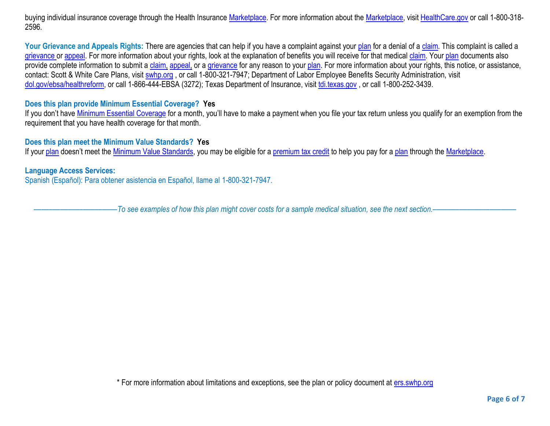buying individual insurance coverage through the Health Insurance [Marketplace.](https://www.healthcare.gov/sbc-glossary/#marketplace) For more information about th[e Marketplace,](https://www.healthcare.gov/sbc-glossary/#marketplace) visit [HealthCare.gov](http://www.healthcare.gov/) or call 1-800-318-2596.

Your Grievance and Appeals Rights: There are agencies that can help if you have a complaint against your [plan](https://www.healthcare.gov/sbc-glossary/#plan) for a denial of a [claim.](https://www.healthcare.gov/sbc-glossary/#claim) This complaint is called a [grievance](https://www.healthcare.gov/sbc-glossary/#grievance) or [appeal.](https://www.healthcare.gov/sbc-glossary/#appeal) For more information about your rights, look at the explanation of benefits you will receive for that medical [claim.](https://www.healthcare.gov/sbc-glossary/#claim) Your [plan](https://www.healthcare.gov/sbc-glossary/#plan) documents also provide complete information to submit a [claim,](https://www.healthcare.gov/sbc-glossary/#claim) [appeal,](https://www.healthcare.gov/sbc-glossary/#appeal) or a [grievance](https://www.healthcare.gov/sbc-glossary/#grievance) for any reason to your [plan.](https://www.healthcare.gov/sbc-glossary/#plan) For more information about your rights, this notice, or assistance, contact: Scott & White Care Plans, visit [swhp.org](file://///10.130.60.78/hpdata/COMCON/MarComm/Ops%20Readiness/Plan%20Doc%20material%20for%202019/CUSTOM%20PLAN%20DOCUMENTS/RENEWALS/ERS/SBC/swhp.org), or call 1-800-321-7947; Department of Labor Employee Benefits Security Administration, visit [dol.gov/ebsa/healthreform,](file://///10.130.60.78/hpdata/COMCON/MarComm/Ops%20Readiness/Plan%20Doc%20material%20for%202019/CUSTOM%20PLAN%20DOCUMENTS/RENEWALS/ERS/SBC/dol.gov/ebsa/healthreform) or call 1-866-444-EBSA (3272); Texas Department of Insurance, visit [tdi.texas.gov](http://www.tdi.texas.gov/) , or call 1-800-252-3439.

#### **Does this plan provide Minimum Essential Coverage? Yes**

If you don't have [Minimum Essential Coverage](https://www.healthcare.gov/sbc-glossary/#minimum-essential-coverage) for a month, you'll have to make a payment when you file your tax return unless you qualify for an exemption from the requirement that you have health coverage for that month.

#### **Does this plan meet the Minimum Value Standards? Yes**

If your [plan](https://www.healthcare.gov/sbc-glossary/#plan) doesn't meet the [Minimum Value Standards,](https://www.healthcare.gov/sbc-glossary/#minimum-value-standard) you may be eligible for a [premium tax credit](https://www.healthcare.gov/sbc-glossary/#premium-tax-credits) to help you pay for a plan through the [Marketplace.](https://www.healthcare.gov/sbc-glossary/#marketplace)

#### **Language Access Services:**

Spanish (Español): Para obtener asistencia en Español, llame al 1-800-321-7947.

––––––––––––––––––––––*To see examples of how this plan might cover costs for a sample medical situation, see the next section.–––––––––––*–––––––––––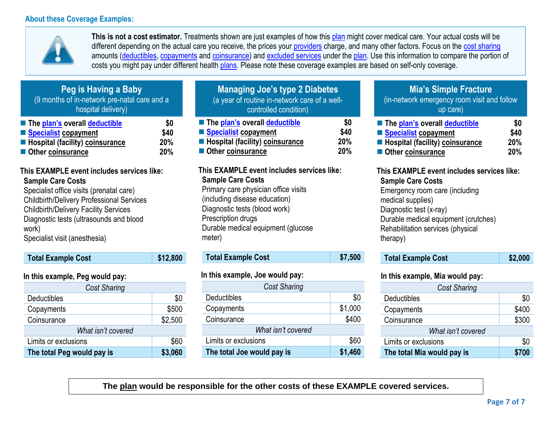

**This is not a cost estimator.** Treatments shown are just examples of how this [plan](https://www.healthcare.gov/sbc-glossary/#plan) might cover medical care. Your actual costs will be different depending on the actual care you receive, the prices your [providers](https://www.healthcare.gov/sbc-glossary/#provider) charge, and many other factors. Focus on the [cost sharing](https://www.healthcare.gov/sbc-glossary/#cost-sharing) amounts [\(deductibles,](https://www.healthcare.gov/sbc-glossary/#deductible) [copayments](https://www.healthcare.gov/sbc-glossary/#copayment) and [coinsurance\)](https://www.healthcare.gov/sbc-glossary/#coinsurance) and [excluded services](https://www.healthcare.gov/sbc-glossary/#excluded-services) under the [plan.](https://www.healthcare.gov/sbc-glossary/#plan) Use this information to compare the portion of costs you might pay under different health [plans.](https://www.healthcare.gov/sbc-glossary/#plan) Please note these coverage examples are based on self-only coverage.

| I GY IS HAYING A DANY                        |      |  |  |  |
|----------------------------------------------|------|--|--|--|
| (9 months of in-network pre-natal care and a |      |  |  |  |
| hospital delivery)                           |      |  |  |  |
| ■ The plan's overall deductible              | \$0  |  |  |  |
| Specialist copayment                         | \$40 |  |  |  |
| <b>E</b> Hospital (facility) coinsurance     | 20%  |  |  |  |
| Other coinsurance                            | 20%  |  |  |  |

**Peg is Having a Baby**

## **This EXAMPLE event includes services like: Sample Care Costs**

Specialist office visits (prenatal care) Childbirth/Delivery Professional Services Childbirth/Delivery Facility Services Diagnostic tests (ultrasounds and blood work) Specialist visit (anesthesia)

| <b>Total Example Cost</b>       | \$12,800 |
|---------------------------------|----------|
| In this example, Peg would pay: |          |

| \$0                |  |  |  |
|--------------------|--|--|--|
| \$500              |  |  |  |
| \$2,500            |  |  |  |
| What isn't covered |  |  |  |
| \$60               |  |  |  |
| \$3,060            |  |  |  |
|                    |  |  |  |

| <b>Managing Joe's type 2 Diabetes</b><br>(a year of routine in-network care of a well-<br>controlled condition) |      |  |
|-----------------------------------------------------------------------------------------------------------------|------|--|
| ■ The plan's overall deductible                                                                                 | \$0  |  |
| Specialist copayment                                                                                            | \$40 |  |
| ■ Hospital (facility) coinsurance<br>20%                                                                        |      |  |
| Other coinsurance                                                                                               | 20%  |  |

#### **This EXAMPLE event includes services like: Sample Care Costs**

Primary care physician office visits (including disease education) Diagnostic tests (blood work) Prescription drugs Durable medical equipment (glucose meter)

| <b>Total Example Cost</b> | \$7,500 |
|---------------------------|---------|
|---------------------------|---------|

### **In this example, Joe would pay:**

| <b>Cost Sharing</b>          |         |  |  |
|------------------------------|---------|--|--|
| Deductibles                  | \$0     |  |  |
| Copayments                   | \$1,000 |  |  |
| Coinsurance                  | \$400   |  |  |
| What isn't covered           |         |  |  |
| \$60<br>Limits or exclusions |         |  |  |
| The total Joe would pay is   | \$1,460 |  |  |

## **Mia's Simple Fracture**

(in-network emergency room visit and follow up care)

| ■ The plan's overall deductible          | \$0        |
|------------------------------------------|------------|
| Specialist copayment                     | \$40       |
| <b>E</b> Hospital (facility) coinsurance | <b>20%</b> |
| Other coinsurance                        | <b>20%</b> |

#### **This EXAMPLE event includes services like: Sample Care Costs**

Emergency room care (including medical supplies) Diagnostic test (x-ray) Durable medical equipment (crutches) Rehabilitation services (physical therapy)

| \$2,000<br><b>Total Example Cost</b> |
|--------------------------------------|
|--------------------------------------|

### **In this example, Mia would pay:**

| <b>Cost Sharing</b>        |       |  |
|----------------------------|-------|--|
| Deductibles                | \$0   |  |
| Copayments                 | \$400 |  |
| Coinsurance                | \$300 |  |
| What isn't covered         |       |  |
| Limits or exclusions       | \$0   |  |
| The total Mia would pay is |       |  |

**The plan would be responsible for the other costs of these EXAMPLE covered services.**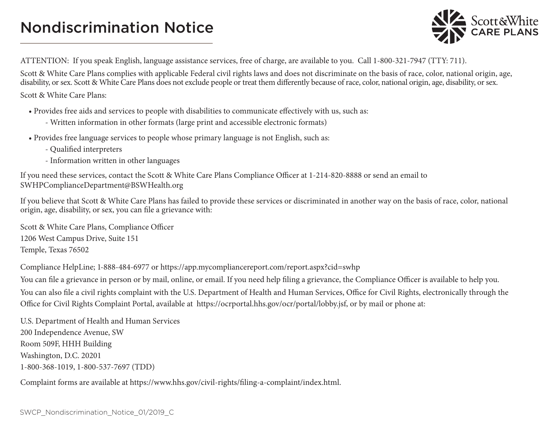# Nondiscrimination Notice



ATTENTION: If you speak English, language assistance services, free of charge, are available to you. Call 1-800-321-7947 (TTY: 711).

Scott & White Care Plans complies with applicable Federal civil rights laws and does not discriminate on the basis of race, color, national origin, age, disability, or sex. Scott & White Care Plans does not exclude people or treat them differently because of race, color, national origin, age, disability, or sex.

Scott & White Care Plans:

• Provides free aids and services to people with disabilities to communicate effectively with us, such as:

- Written information in other formats (large print and accessible electronic formats)
- Provides free language services to people whose primary language is not English, such as:
	- Qualified interpreters
	- Information written in other languages

If you need these services, contact the Scott & White Care Plans Compliance Officer at 1-214-820-8888 or send an email to SWHPComplianceDepartment@BSWHealth.org

If you believe that Scott & White Care Plans has failed to provide these services or discriminated in another way on the basis of race, color, national origin, age, disability, or sex, you can file a grievance with:

Scott & White Care Plans, Compliance Officer 1206 West Campus Drive, Suite 151 Temple, Texas 76502

Compliance HelpLine; 1-888-484-6977 or https://app.mycompliancereport.com/report.aspx?cid=swhp

You can file a grievance in person or by mail, online, or email. If you need help filing a grievance, the Compliance Officer is available to help you. You can also file a civil rights complaint with the U.S. Department of Health and Human Services, Office for Civil Rights, electronically through the Office for Civil Rights Complaint Portal, available at https://ocrportal.hhs.gov/ocr/portal/lobby.jsf, or by mail or phone at:

U.S. Department of Health and Human Services 200 Independence Avenue, SW Room 509F, HHH Building Washington, D.C. 20201 1-800-368-1019, 1-800-537-7697 (TDD)

Complaint forms are available at https://www.hhs.gov/civil-rights/filing-a-complaint/index.html.